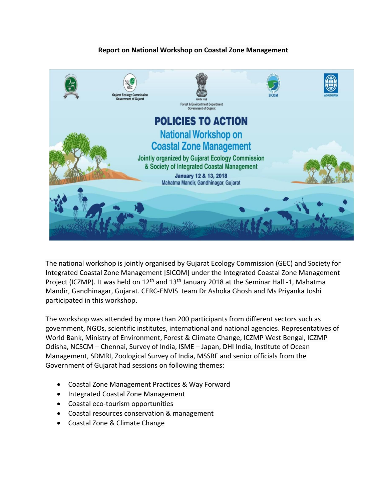## **Report on National Workshop on Coastal Zone Management**



The national workshop is jointly organised by Gujarat Ecology Commission (GEC) and Society for Integrated Coastal Zone Management [SICOM] under the Integrated Coastal Zone Management Project (ICZMP). It was held on 12<sup>th</sup> and 13<sup>th</sup> January 2018 at the Seminar Hall -1, Mahatma Mandir, Gandhinagar, Gujarat. CERC-ENVIS team Dr Ashoka Ghosh and Ms Priyanka Joshi participated in this workshop.

The workshop was attended by more than 200 participants from different sectors such as government, NGOs, scientific institutes, international and national agencies. Representatives of World Bank, Ministry of Environment, Forest & Climate Change, ICZMP West Bengal, ICZMP Odisha, NCSCM – Chennai, Survey of India, ISME – Japan, DHI India, Institute of Ocean Management, SDMRI, Zoological Survey of India, MSSRF and senior officials from the Government of Gujarat had sessions on following themes:

- Coastal Zone Management Practices & Way Forward
- Integrated Coastal Zone Management
- Coastal eco-tourism opportunities
- Coastal resources conservation & management
- Coastal Zone & Climate Change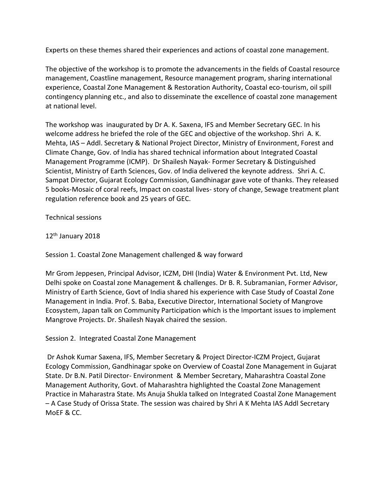Experts on these themes shared their experiences and actions of coastal zone management.

The objective of the workshop is to promote the advancements in the fields of Coastal resource management, Coastline management, Resource management program, sharing international experience, Coastal Zone Management & Restoration Authority, Coastal eco-tourism, oil spill contingency planning etc., and also to disseminate the excellence of coastal zone management at national level.

The workshop was inaugurated by Dr A. K. Saxena, IFS and Member Secretary GEC. In his welcome address he briefed the role of the GEC and objective of the workshop. Shri A. K. Mehta, IAS – Addl. Secretary & National Project Director, Ministry of Environment, Forest and Climate Change, Gov. of India has shared technical information about Integrated Coastal Management Programme (ICMP). Dr Shailesh Nayak- Former Secretary & Distinguished Scientist, Ministry of Earth Sciences, Gov. of India delivered the keynote address. Shri A. C. Sampat Director, Gujarat Ecology Commission, Gandhinagar gave vote of thanks. They released 5 books-Mosaic of coral reefs, Impact on coastal lives- story of change, Sewage treatment plant regulation reference book and 25 years of GEC.

Technical sessions

12th January 2018

Session 1. Coastal Zone Management challenged & way forward

Mr Grom Jeppesen, Principal Advisor, ICZM, DHI (India) Water & Environment Pvt. Ltd, New Delhi spoke on Coastal zone Management & challenges. Dr B. R. Subramanian, Former Advisor, Ministry of Earth Science, Govt of India shared his experience with Case Study of Coastal Zone Management in India. Prof. S. Baba, Executive Director, International Society of Mangrove Ecosystem, Japan talk on Community Participation which is the Important issues to implement Mangrove Projects. Dr. Shailesh Nayak chaired the session.

Session 2. Integrated Coastal Zone Management

Dr Ashok Kumar Saxena, IFS, Member Secretary & Project Director-ICZM Project, Gujarat Ecology Commission, Gandhinagar spoke on Overview of Coastal Zone Management in Gujarat State. Dr B.N. Patil Director- Environment & Member Secretary, Maharashtra Coastal Zone Management Authority, Govt. of Maharashtra highlighted the Coastal Zone Management Practice in Maharastra State. Ms Anuja Shukla talked on Integrated Coastal Zone Management – A Case Study of Orissa State. The session was chaired by Shri A K Mehta IAS Addl Secretary MoEF & CC.